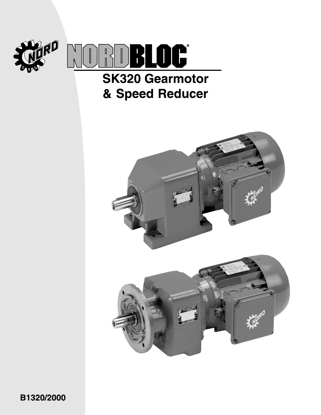

# **SK320 Gearmotor** & Speed Reducer



B1320/2000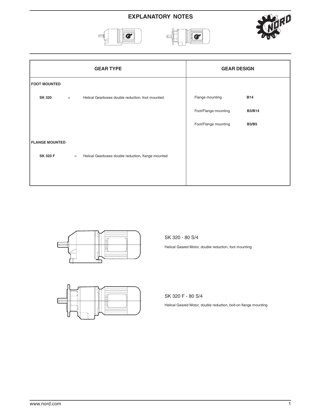# **EXPLANATORY NOTES**







|                       |     | <b>GEAR TYPE</b>                                   | <b>GEAR DESIGN</b>   |               |
|-----------------------|-----|----------------------------------------------------|----------------------|---------------|
| <b>FOOT MOUNTED</b>   |     |                                                    |                      |               |
| <b>SK 320</b>         | $=$ | Helical Gearboxes double reduction, foot mounted   | Flange mounting      | <b>B14</b>    |
|                       |     |                                                    | Foot/Flange mounting | <b>B3/B14</b> |
|                       |     |                                                    | Foot/Flange mounting | <b>B3/B5</b>  |
| <b>FLANGE MOUNTED</b> |     |                                                    |                      |               |
| <b>SK 320 F</b>       | $=$ | Helical Gearboxes double reduction, flange mounted |                      |               |
|                       |     |                                                    |                      |               |



SK 320 - 80 S/4

Helical Geared Motor, double reduction, foot mounting



SK 320 F - 80 S/4

Helical Geared Motor, double reduction, bolt-on flange mounting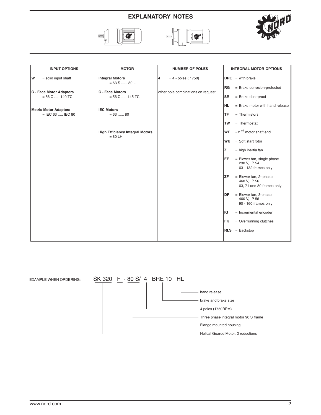# **EXPLANATORY NOTES**







| <b>INPUT OPTIONS</b>                               | <b>MOTOR</b>                                        | <b>NUMBER OF POLES</b>             | <b>INTEGRAL MOTOR OPTIONS</b>                                                   |
|----------------------------------------------------|-----------------------------------------------------|------------------------------------|---------------------------------------------------------------------------------|
| W<br>$=$ solid input shaft                         | <b>Integral Motors</b><br>$= 63$ S  80 L            | 4<br>$= 4$ - poles (1750)          | $BRE = with breake$                                                             |
| <b>C</b> - Face Motor Adapters                     | C - Face Motors                                     | other pole combinations on request | RG<br>= Brake corrosion-protected                                               |
| $= 56 C$ 140 TC                                    | $= 56 C$ 145 TC                                     |                                    | <b>SR</b><br>$=$ Brake dust-proof                                               |
|                                                    |                                                     |                                    | <b>HL</b><br>$=$ Brake motor with hand release                                  |
| <b>Metric Motor Adapters</b><br>$=$ IEC 63  IEC 80 | <b>IEC Motors</b><br>$= 63$ 80                      |                                    | <b>TF</b><br>$=$ Thermistors                                                    |
|                                                    |                                                     |                                    |                                                                                 |
|                                                    |                                                     |                                    | $=$ Thermostat<br><b>TW</b>                                                     |
|                                                    | <b>High Efficiency Integral Motors</b><br>$= 80$ LH |                                    | $= 2$ <sup>nd</sup> motor shaft end<br><b>WE</b>                                |
|                                                    |                                                     |                                    | $=$ Soft start rotor<br>WU                                                      |
|                                                    |                                                     |                                    | z<br>$=$ high inertia fan                                                       |
|                                                    |                                                     |                                    | <b>EF</b><br>= Blower fan, single phase<br>230 V, IP 54<br>63 - 132 frames only |
|                                                    |                                                     |                                    |                                                                                 |
|                                                    |                                                     |                                    | = Blower fan, 2- phase<br><b>ZF</b><br>460 V, IP 56                             |
|                                                    |                                                     |                                    | 63, 71 and 80 frames only                                                       |
|                                                    |                                                     |                                    | DF<br>= Blower fan, 3-phase<br>460 V, IP 56                                     |
|                                                    |                                                     |                                    | 90 - 160 frames only                                                            |
|                                                    |                                                     |                                    | IG<br>$=$ Incremental encoder                                                   |
|                                                    |                                                     |                                    | <b>FK</b><br>$=$ Overrunning clutches                                           |
|                                                    |                                                     |                                    | $RLS = Backstop$                                                                |
|                                                    |                                                     |                                    |                                                                                 |

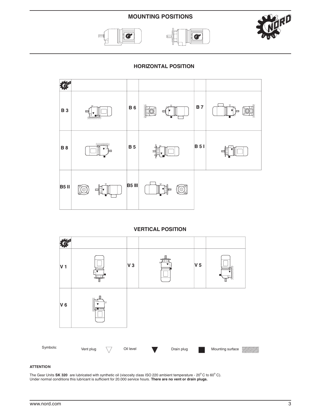### **MOUNTING POSITIONS**







**HORIZONTAL POSITION**



#### **VERTICAL POSITION**



#### **ATTENTION**

The Gear Units SK 320 are lubricated with synthetic oil (viscosity class ISO 220 ambient temperature - 20°C to 60°C). Under normal conditions this lubricant is sufficient for 20.000 service hours. **There are no vent or drain plugs.**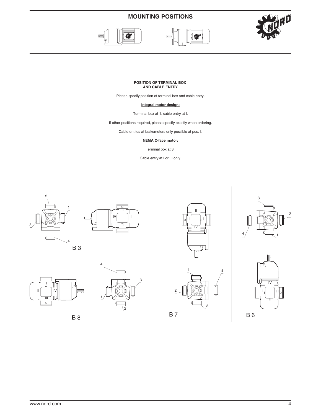# **MOUNTING POSITIONS**





#### **POSITION OF TERMINAL BOX AND CABLE ENTRY**

Please specify position of terminal box and cable entry.

#### **Integral motor design:**

Terminal box at 1, cable entry at I.

If other positions required, please specify exactly when ordering.

Cable entries at brakemotors only possible at pos. I.

#### **NEMA C-face motor:**

Terminal box at 3.

Cable entry at I or III only.

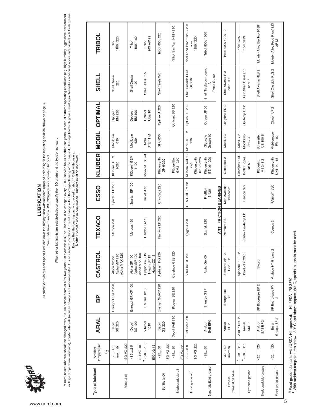

LUBRICATION **LUBRICATION**

All Nord Gear Motors and Speed Reducer leave the factory filled with lubricant adjusted according to the mounting position shown on page 3.<br>Gear units have mineral of the factory filled and in ISO 220 grade as a standard l All Nord Gear Motors and Speed Reducer leave the factory filled with lubricant adjusted according to the mounting position shown on page 3.

Gear units have mineral oil ISO 220 grade as a standard lubricant.

When other lubricants are selected please specify the ISO grade and the type of lubricant. When other lubricants are selected please specify the ISO grade and the type of lubricant.

Mineral based lubricant should be changed every 10.000 service hours or after two years. For synthetic oils, the lube should be changed every 20.000 service hours or after four years. In case of extreme operating condition or large temperature variations), shorten changes are recommended. It is advisable to combine lubricant change with a thorough clearing of the gear unit. Bearings filled with grease must also cleaned as scheduled above and Mineral based lubricant should every 10.000 service hours or after two years. For synthetic oils, the lube should be changed every 20.000 service hours or after four years. In case of extreme operating conditions (e.g. hig Ensure that the bearing cavity is packed to about 1/3 full with grease.

Ensure that the bearing cavity is packed to about 1/3 full with grease.<br>Note: Synthetic and mineral based lubricants must do not mixed ! **Note**: Synthetic and mineral based lubricants must do not mixed !

| Type of lubricant            | temperature<br>Ambient<br>$\mathcal{S}_{\mathsf{o}}$ | <b>ARAL</b>                     | BP                 | CASTROL                                       | TEXACO                 | <b>ESSO</b>                          | <b>KLUBER</b>                                |                                | <b>MOBIL OPTIMAL</b>  | <b>SHELL</b>                                      | <b>TRIBOL</b>                                    |
|------------------------------|------------------------------------------------------|---------------------------------|--------------------|-----------------------------------------------|------------------------|--------------------------------------|----------------------------------------------|--------------------------------|-----------------------|---------------------------------------------------|--------------------------------------------------|
| Mineral oil                  | ISO VG 220<br>(normal)<br>$-540$                     | Degol<br>BG 220                 | Energol GR-XP 220  | Alpha MAX 220<br>Alpha MW 220<br>Alpha SP 220 | Meropa 220             | Spartan EP 220                       | Klüberoil GEM<br>$1 - 220$                   | Mobilgear<br>630               | Optigear<br>BM 220    | Shell Omala<br>220                                | 1100/220<br>Tribol                               |
|                              | ISO VG 100<br>$-1525$                                | Degol<br>BG 100                 | Energol GR-XP 100  | Alpha MAX 100<br>Alpha MW 100<br>Alpha SP 100 | Meropa 150             | Spartan EP 100                       | Klüberoil GEM<br>$1 - 100$                   | Mobilgear<br>629               | Optigear<br>BM 100    | Shell Omala<br>100                                | 1100/100<br>Tribol                               |
|                              | $* -50 -15$<br>ISO VG 15                             | Vitamol<br>1010                 | Bartran HV15       | Hyspin AWS 15<br>Hyspin SP 15<br>Hyspin ZZ 15 | Rando HGZ 15           | Univis J13                           | Isoflex MT 30 rot                            | DTE <sub>11</sub> M<br>Mobil   | Optimol<br>Ultra 10   | Shell Tellus T15                                  | 943 AW 22<br>Tribol                              |
| Synthetic Oil                | ISO VG 220<br>$-2580$                                | GS 220<br>Degol                 | Enersyn SG-XP 220  | Alphasyn PG 220                               | Pinnacle EP 220        | Glycolube 220                        | Klübersynth<br>GH 6-220                      | SHC 630                        | Optiflex A 220        | Shell Tivela WB                                   | Tribol 800 / 220                                 |
| Biodegradable oil            | ISO VG 220<br>$-2580$                                | Degol BAB 220                   | Biogear SE 220     | Carelube GES 220                              |                        |                                      | Klüber-Bio<br>GM2 - 220                      |                                | Optisynt BS 220       |                                                   | Tribol Bio Top 1418 / 220                        |
| Food grade oil 1)            | ISO VG 220<br>$-2580$                                | Eural Gear 220                  |                    | Vitalube GS 220                               | Cygnus 220             | GEAR OIL FM 220                      | Klüberoil 4UH1 -<br>Klübersynth<br>UH1-6-220 | Mobil DTE FM<br>220            | Optileb GT 220        | Shell Cassida Fluid<br>GL 220                     | Tribol Food Proof 1810 / 220<br>1800/220<br>oder |
| Synthetic fluid grease       | $-3560$                                              | BAB EPO<br>Aralub               | Enersyn GSF        | Alpha Gel 00                                  | Starfak 220            | Fließfett<br>S 420                   | Klübersynth<br>GE 46-1200                    | Glygoyle<br>Grease 00          | Obeen UF 00           | Shell Tivela compound<br>Tivela GL 00             | Tribol 800 / 1000                                |
|                              |                                                      |                                 |                    |                                               | ANTI FRICTION BEARINGS |                                      |                                              |                                |                       |                                                   |                                                  |
| (mineral oil base)<br>Grease | $-3060$<br>(normal)                                  | Aralub<br>HL 2                  | Energrease<br>LS 2 | Spheerol AP - 2<br>$L2V - EP$                 | Premium <sub>RB</sub>  | Mehrzweckfett<br>Beacon <sub>2</sub> | Centoplex 2                                  | Mobilux 3                      | Longtime PD 2         | $\mathbf{\alpha}$<br>Shell Alvania R<br>oder RL 2 | Tribol 4020 / 220 - 2                            |
|                              | $*$ -50 $$ 110                                       | $\mathbf{\Omega}$<br>Aralub SEL |                    | Spheerol EPL-2                                |                        |                                      | Centoplex 1DL                                | Mobilux <sub>2</sub>           |                       |                                                   | <b>Tribol 3785</b>                               |
| Synthetic grease             | $*$ - 50  110                                        | Aralub<br>SKL <sub>2</sub>      |                    | Product 783/46                                | Starfak Lowtemp EP     | Beacon 325                           | Isoflex Topas<br>NB 52                       | Mobiltemp<br>SHC <sub>32</sub> | Optitemp LG 2         | Aero Shell Grease 16<br>oder 7                    | Tribol 3499                                      |
| Biodegradable grease         | $-20120$                                             | Aralub<br>BABEP2                | BP Biogrease EP 2  | Biotec                                        |                        |                                      | M32-82<br>Klüberbio                          | Schmierfett<br><b>UE 100 B</b> |                       | Shell Alvania RLB 2                               | Molub - Alloy Bio Top 9488                       |
| Food grade grease 1)         | $-20120$                                             | Grease EP 2<br>Eural            | BP Energrease FM   | $\sim$<br>Vitalube HT Grease                  | Cygnus <sub>2</sub>    | Carum 330                            | Klübersynth<br>UH1 14 - 151                  | Mobilgrease<br>FM 102          | Obeen UF <sub>2</sub> | Shell Cassida RLS 2                               | Molub - Alloy Food Proof 823<br>$-2F M$          |

<sup>1)</sup> Food grade lubricants with USDA-H1 approval: H1 / FDA 178.3570<br>\* With armbient temperatures below - 30° C and above approx. 60° C, special oil seals must be used.  $\tilde{\cdot}$  With ambient temperatures below - 30° C and above approx. 60° C, special oil seals must be used. 1) Food grade lubricants with USDA-H1 approval: H1 / FDA 178.3570 **\***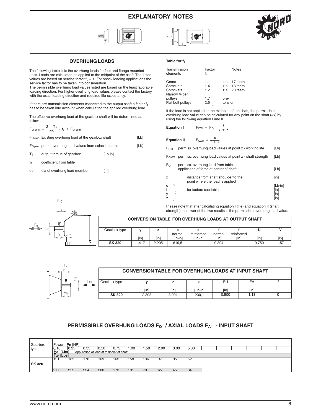### **EXPLANATORY NOTES**







#### **OVERHUNG LOADS**

The following table lists the overhung loads for foot and flange mounted units. Loads are calculated as applied to the midpoint of the shaft. The listed values are based on service factor  $f_B = 1$ . For shock loading applications the service factor has to be taken into consideration.

The permissible overhung load values listed are based on the least favorable loading direction. For higher overhung load values please contact the factory with the exact loading direction and required life expectancy.

If there are transmission elements connected to the output shaft a factor  $f<sub>z</sub>$ has to be taken into account when calculating the applied overhung load.

The effective overhung load at the gearbox shaft will be determined as follows:

| $F_{Q \text{ exits.}} = \frac{2 \cdot T_2}{dQ} \cdot f_z \leq F_{Q \text{ perm}}$ |      |
|-----------------------------------------------------------------------------------|------|
| $F_{\text{Q exits.}}$ Existing overhung load at the gearbox shaft                 | [Lb] |

 $F_{Q\, perm}$  perm. overhung load values from selection table  $[LD]$ 

- T<sub>2</sub> output torque of gearbox [Lb-in]
- fz coefficient from table
- do dia of overhung load member [in]

#### **Table for fz**

| Transmission<br>elements                                | Factor<br>f,                              | <b>Notes</b>                                             |
|---------------------------------------------------------|-------------------------------------------|----------------------------------------------------------|
| Gears<br><b>Sprockets</b><br>Sprockets<br>Narrow V-belt | 1.1<br>1.4<br>1.2                         | $z \leq 17$ teeth<br>$z \leq 13$ teeth<br>$z < 20$ teeth |
| pulleys<br>Flat belt pulleys                            | $\begin{array}{c} 1.7 \\ 2.5 \end{array}$ | pre-<br>tension                                          |

If the load is not applied at the midpoint of the shaft, the permissible overhung load value can be calculated for any-point on the shaft (=x) by using the following equation I and II.

**Equation I**  $F_{QXL} = F_Q \cdot \frac{z}{y + x}$ 

**Equation II**  $F_{QXW} = \frac{c}{f + x}$ 

| permiss. overhung load values at point x - working life<br>⊦ox∟ |
|-----------------------------------------------------------------|
|-----------------------------------------------------------------|

 $F<sub>QXW</sub>$  permiss. overhung load values at point x - shaft strength [Lb]

| Fo | permiss, overhung load from table,<br>application of force at center of shaft | [Lb]            |
|----|-------------------------------------------------------------------------------|-----------------|
| x  | distance from shaft shoulder to the<br>point where the load is applied        | [in]            |
| C  | for factors see table                                                         | [Lb-in]<br>[in] |
|    |                                                                               | [in]<br>ſin     |

Please note that after calculating equation I (life) and equation II (shaft strength) the lower of the two results is the permissible overhung load value.



F n

# **CONVERSION TABLE FOR OVERHUNG LOADS AT OUTPUT SHAFT**

| Gearbox type  |      | <u>_</u> |         |            |        |                          |       |      |
|---------------|------|----------|---------|------------|--------|--------------------------|-------|------|
|               |      |          | normal  | reinforced | normal | reinforced               |       |      |
|               | [in] | [in]     | 'Lb-inl | "Lb-in1    | [in]   | [in]                     | [in]  | [in] |
| <b>SK 320</b> | .417 | 2.205    | 619,5   | $--$       | 0.394  | $\overline{\phantom{a}}$ | 0.750 | 1.57 |



|   |               | <b>CONVERSION TABLE FOR OVERHUNG LOADS AT INPUT SHAFT</b> |       |         |       |      |  |
|---|---------------|-----------------------------------------------------------|-------|---------|-------|------|--|
| ► | Gearbox type  |                                                           |       | с       | FU    | FV   |  |
|   |               | ſin                                                       | ſin   | [Lb-in] | [in]  | [in] |  |
|   | <b>SK 320</b> | 2.303                                                     | 3.091 | 230.1   | 0.500 | 1.13 |  |

#### **PERMISSIBLE OVERHUNG LOADS FQ1 / AXIAL LOADS FA1 - INPUT SHAFT**

| Gearbox       | Power          | Pn [HP] |      |                                          |      |      |      |      |      |      |  |  |  |
|---------------|----------------|---------|------|------------------------------------------|------|------|------|------|------|------|--|--|--|
| type          | 0.16           | 0.25    | 0.33 | 0.50                                     | 0.75 | 1.00 | 1.50 | 2.00 | 3.00 | 5.00 |  |  |  |
|               | $F_{01}$ [Lbs] |         |      | Application of load at midpoint of shaft |      |      |      |      |      |      |  |  |  |
|               | $F_{A1}$ [Lbs] |         |      |                                          |      |      |      |      |      |      |  |  |  |
|               | 191            | 185     | 176  | 169                                      | 162  | 158  | 136  | 97   | 95   | 52   |  |  |  |
| <b>SK 320</b> |                |         |      |                                          |      |      |      |      |      |      |  |  |  |
|               | 277            | 252     | 224  | 200                                      | 173  | 131  | 79   | 65   | 45   | 34   |  |  |  |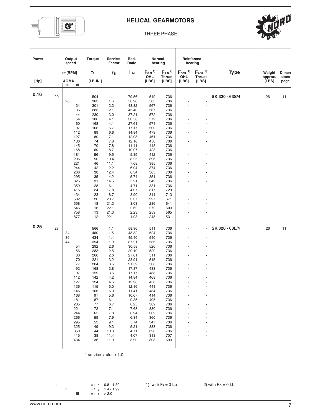

#### THREE PHASE



| Power |    | Output<br>speed  |                          | Torque                   | Service-<br>Factor           | Red.<br>Ratio                    | Normal                        | bearing                                 | Reinforced                            | bearing                                    |                |                  |                |
|-------|----|------------------|--------------------------|--------------------------|------------------------------|----------------------------------|-------------------------------|-----------------------------------------|---------------------------------------|--------------------------------------------|----------------|------------------|----------------|
|       |    | $n_2$ [RPM]      |                          | T <sub>2</sub>           | fв                           | $i_{\rm total}$                  | $F_{QN}$ <sup>1)</sup><br>OHL | $F_{AN}$ <sup>2)</sup><br><b>Thrust</b> | $F_{\text{QVL}}$ <sup>1)</sup><br>OHL | $F_{AVL}$ <sup>2)</sup><br><b>Thrust</b>   | <b>Type</b>    | Weight           | Dimen<br>sions |
| [Hp]  | L. | <b>AGMA</b><br>Ш | Ш                        | $[LB-IN.]$               |                              |                                  | [LBS]                         | [LBS]                                   | [LBS]                                 | [LBS]                                      |                | approx.<br>[LBS] | page           |
| 0.16  | 20 | 28               |                          | 504<br>363               | 1.1<br>1.6                   | 79.56<br>58.96                   | 549<br>563                    | 736<br>736                              | ä,                                    | ÷,<br>ä,                                   | SK 320 - 63S/4 | 26               | 11             |
|       |    |                  | 34<br>36<br>44           | 301<br>283<br>230        | 2.3<br>2.1<br>3.0            | 48.32<br>45.40<br>37.21          | 567<br>567<br>572             | 736<br>736<br>736                       |                                       | ÷,<br>÷,<br>÷,                             |                |                  |                |
|       |    |                  | 54<br>60<br>97<br>112    | 186<br>168<br>106<br>89  | 4.1<br>4.1<br>5.7<br>6.6     | 30.58<br>27.61<br>17.17<br>14.84 | 572<br>574<br>500<br>479      | 736<br>736<br>736<br>736                | ÷,                                    | i,<br>$\overline{\phantom{m}}$<br>÷,<br>÷, |                |                  |                |
|       |    |                  | 127<br>136<br>145<br>168 | 80<br>74<br>70<br>60     | 7.1<br>7.8<br>7.8<br>8.7     | 12.98<br>12.16<br>11.41<br>10.07 | 461<br>450<br>443<br>423      | 736<br>736<br>736<br>736                |                                       | $\overline{a}$<br>ä,<br>÷,<br>÷,           |                |                  |                |
|       |    |                  | 181<br>205<br>221        | 56<br>50<br>46           | 9.5<br>10.4<br>11.1          | 9.35<br>8.25<br>7.68             | 412<br>396<br>385             | 736<br>736<br>736                       |                                       | ÷,<br>÷,<br>÷,                             |                |                  |                |
|       |    |                  | 244<br>266<br>295<br>325 | 42<br>38<br>35<br>31     | 12.2<br>12.4<br>14.2<br>14.5 | 6.94<br>6.34<br>5.74<br>5.21     | 374<br>365<br>351<br>342      | 736<br>736<br>736<br>736                | ä,                                    | ÷,<br>٠<br>÷,<br>÷,                        |                |                  |                |
|       |    |                  | 359<br>415<br>434        | 28<br>24<br>23           | 16.1<br>17.8<br>18.7         | 4.71<br>4.07<br>3.90             | 331<br>317<br>311             | 736<br>729<br>713                       |                                       | ÷<br>÷,<br>÷,                              |                |                  |                |
|       |    |                  | 502<br>558<br>646<br>758 | 20<br>18<br>16<br>13     | 20.7<br>21.3<br>22.1<br>21.3 | 3.37<br>3.03<br>2.62<br>2.23     | 297<br>286<br>272<br>259      | 671<br>641<br>603<br>565                | ÷,<br>$\ddot{\phantom{1}}$            | ÷,<br>÷<br>÷,<br>ä,                        |                |                  |                |
| 0.25  | 28 |                  | 877                      | 12<br>566                | 22.1<br>1.1                  | 1.93<br>58.96                    | 248<br>511                    | 531<br>736                              |                                       | $\frac{1}{2}$<br>$\blacksquare$            | SK 320 - 63L/4 | 26               | 11             |
|       |    | 34<br>36<br>44   | 54                       | 460<br>434<br>354        | 1.5<br>1.4<br>1.9            | 48.32<br>45.40<br>37.21          | 524<br>540<br>536             | 736<br>736<br>736                       | ٠<br>$\ddot{\phantom{1}}$             | $\overline{\phantom{a}}$<br>L,<br>÷,       |                |                  |                |
|       |    |                  | 56<br>60<br>70           | 292<br>283<br>266<br>221 | 2.6<br>2.5<br>2.6<br>3.2     | 30.58<br>29.10<br>27.61<br>23.91 | 520<br>529<br>511<br>515      | 736<br>736<br>736<br>736                | ä,                                    | $\frac{1}{2}$<br>ä,<br>÷,<br>÷,            |                |                  |                |
|       |    |                  | 77<br>92<br>97<br>112    | 204<br>168<br>159<br>142 | 3.5<br>3.8<br>3.6<br>4.2     | 21.59<br>17.87<br>17.17<br>14.84 | 506<br>488<br>488<br>468      | 736<br>736<br>736<br>736                | ٠<br>$\blacksquare$                   | ä,<br>÷,<br>٠<br>÷,                        |                |                  |                |
|       |    |                  | 127<br>136<br>145<br>168 | 124<br>115<br>106<br>97  | 4.6<br>5.0<br>5.0<br>5.6     | 12.98<br>12.16<br>11.41<br>10.07 | 450<br>441<br>434<br>414      | 736<br>736<br>736<br>736                | ä,                                    | ÷,<br>$\overline{\phantom{a}}$<br>٠<br>÷   |                |                  |                |
|       |    |                  | 181<br>205<br>221        | 87<br>77<br>72           | 6.1<br>6.7<br>7.1            | 9.35<br>8.25<br>7.68             | 405<br>389<br>380             | 736<br>736<br>736                       |                                       | ÷,<br>$\overline{a}$<br>$\blacksquare$     |                |                  |                |
|       |    |                  | 244<br>266<br>295<br>325 | 65<br>59<br>53<br>49     | 7.8<br>7.9<br>9.1<br>9.3     | 6.94<br>6.34<br>5.74<br>5.21     | 369<br>360<br>347<br>338      | 736<br>736<br>736<br>736                |                                       | ÷,<br>÷,<br>÷,<br>÷                        |                |                  |                |
|       |    |                  | 359<br>415<br>434        | 44<br>38<br>36           | 10.3<br>11.4<br>11.9         | 4.71<br>4.07<br>3.90             | 326<br>313<br>308             | 736<br>707<br>693                       |                                       | ÷<br>ä,<br>÷,                              |                |                  |                |
|       |    |                  |                          |                          |                              |                                  |                               |                                         |                                       |                                            |                |                  |                |

\* service factor < 1.0

**I**  $=$  f B 0.8 - 1.39 1) with  $F_A = 0$  Lb 2) with  $F_Q = 0$  Lb  $=$  f B 1.4 - 1.99

**II**  $=$  f  $=$  1.4 - 1.99 **III** = f  $_{\rm B}$  > 2.0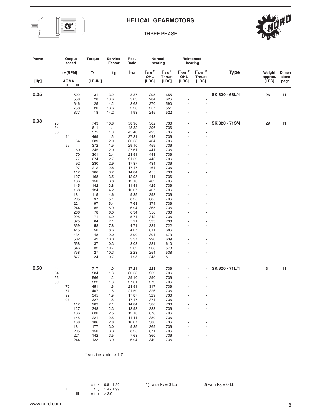

#### THREE PHASE



| Power |                      | Output<br>speed             |                                                                                                                                                                              | Torque                                                                                                                                                                                                  | Service-<br>Factor                                                                                                                                                                                                            | Red.<br>Ratio                                                                                                                                                                                                                                                        | Normal                                                                                                                                                                                                                | bearing                                                                                                                                                                                                               | Reinforced                                                                                           | bearing                                                                                                                                                                                            |                |                   |                |
|-------|----------------------|-----------------------------|------------------------------------------------------------------------------------------------------------------------------------------------------------------------------|---------------------------------------------------------------------------------------------------------------------------------------------------------------------------------------------------------|-------------------------------------------------------------------------------------------------------------------------------------------------------------------------------------------------------------------------------|----------------------------------------------------------------------------------------------------------------------------------------------------------------------------------------------------------------------------------------------------------------------|-----------------------------------------------------------------------------------------------------------------------------------------------------------------------------------------------------------------------|-----------------------------------------------------------------------------------------------------------------------------------------------------------------------------------------------------------------------|------------------------------------------------------------------------------------------------------|----------------------------------------------------------------------------------------------------------------------------------------------------------------------------------------------------|----------------|-------------------|----------------|
|       |                      | $n_2$ [RPM]                 |                                                                                                                                                                              | T <sub>2</sub>                                                                                                                                                                                          | $f_B$                                                                                                                                                                                                                         | <i>I</i> <sub>total</sub>                                                                                                                                                                                                                                            | $F_{QN}$ <sup>1)</sup><br>OHL                                                                                                                                                                                         | $F_{AN}$ <sup>2)</sup><br><b>Thrust</b>                                                                                                                                                                               | OHL                                                                                                  | $F_{QVL}$ <sup>1)</sup> $F_{AVL}$ <sup>2)</sup><br><b>Thrust</b>                                                                                                                                   | <b>Type</b>    | Weight<br>approx. | Dimen<br>sions |
| [HP]  | $\mathbf{L}$         | <b>AGMA</b><br>$\mathbf{H}$ | Ш                                                                                                                                                                            | $[LB-IN.]$                                                                                                                                                                                              |                                                                                                                                                                                                                               |                                                                                                                                                                                                                                                                      | [LBS]                                                                                                                                                                                                                 | [LBS]                                                                                                                                                                                                                 | [LBS]                                                                                                | [LBS]                                                                                                                                                                                              |                | [LBS]             | page           |
| 0.25  |                      |                             | 502<br>558<br>646<br>758<br>877                                                                                                                                              | 31<br>28<br>25<br>20<br>18                                                                                                                                                                              | 13.2<br>13.6<br>14.2<br>13.6<br>14.2                                                                                                                                                                                          | 3.37<br>3.03<br>2.62<br>2.23<br>1.93                                                                                                                                                                                                                                 | 295<br>284<br>270<br>257<br>245                                                                                                                                                                                       | 655<br>626<br>590<br>551<br>522                                                                                                                                                                                       | ä,<br>$\ddot{\phantom{1}}$<br>$\overline{\phantom{a}}$                                               | $\overline{\phantom{a}}$<br>÷,<br>Ĭ.<br>÷,<br>$\blacksquare$                                                                                                                                       | SK 320 - 63L/4 | 26                | 11             |
| 0.33  | 28<br>34<br>36       | 44<br>56                    | 54<br>60<br>70<br>77<br>92<br>97<br>112<br>127<br>136<br>145<br>168<br>181<br>205<br>221<br>244<br>266<br>295<br>325<br>359<br>415<br>434<br>502<br>558<br>646<br>758<br>877 | 743<br>611<br>575<br>469<br>389<br>372<br>345<br>301<br>274<br>230<br>212<br>186<br>168<br>150<br>142<br>124<br>115<br>97<br>97<br>85<br>78<br>71<br>64<br>58<br>50<br>48<br>42<br>37<br>32<br>27<br>24 | $*0.8$<br>1.1<br>1.0<br>1.5<br>2.0<br>1.9<br>2.0<br>2.4<br>2.7<br>2.9<br>2.8<br>3.2<br>3.5<br>3.8<br>3.8<br>4.2<br>4.6<br>5.1<br>5.4<br>5.9<br>6.0<br>6.9<br>7.1<br>7.8<br>8.6<br>9.0<br>10.0<br>10.3<br>10.7<br>10.3<br>10.7 | 58.96<br>48.32<br>45.40<br>37.21<br>30.58<br>29.10<br>27.61<br>23.91<br>21.59<br>17.87<br>17.17<br>14.84<br>12.98<br>12.16<br>11.41<br>10.07<br>9.35<br>8.25<br>7.68<br>6.94<br>6.34<br>5.74<br>5.21<br>4.71<br>4.07<br>3.90<br>3.37<br>3.03<br>2.62<br>2.23<br>1.93 | 362<br>396<br>423<br>443<br>434<br>459<br>441<br>448<br>446<br>434<br>464<br>455<br>441<br>432<br>425<br>407<br>398<br>385<br>374<br>365<br>356<br>342<br>333<br>324<br>311<br>304<br>290<br>281<br>268<br>254<br>243 | 736<br>736<br>736<br>736<br>736<br>736<br>736<br>736<br>736<br>736<br>736<br>736<br>736<br>736<br>736<br>736<br>736<br>736<br>736<br>736<br>736<br>736<br>736<br>722<br>686<br>673<br>639<br>610<br>578<br>538<br>511 | $\ddot{\phantom{1}}$<br>$\sim$<br>$\overline{a}$<br>ä,<br>$\sim$<br>$\blacksquare$<br>$\overline{a}$ | ÷,<br>$\blacksquare$<br>Ĭ.<br>$\overline{\phantom{a}}$<br>ä,<br>÷<br>÷,<br>L,<br>L,<br>÷,<br>÷,<br>-<br>L,<br>÷,<br>٠<br>÷,<br>÷,<br>L,<br>L,<br>٠<br>÷,<br>÷,<br>÷,<br>÷,<br>ä,<br>$\blacksquare$ | SK 320 - 71S/4 | 29                | 11             |
| 0.50  | 44<br>54<br>56<br>60 | 70<br>77<br>92<br>97        | 112<br>127<br>136<br>145<br>168<br>181<br>205<br>221<br>244                                                                                                                  | 717<br>584<br>566<br>522<br>451<br>407<br>345<br>327<br>283<br>248<br>230<br>221<br>186<br>177<br>150<br>142<br>133                                                                                     | 1.0<br>1.3<br>$1.2$<br>1.3<br>1.6<br>1.8<br>1.9<br>1.8<br>2.1<br>2.3<br>2.5<br>2.5<br>2.8<br>3.0<br>3.3<br>$3.5\,$<br>3.9                                                                                                     | 37.21<br>30.58<br>29.10<br>27.61<br>23.91<br>21.59<br>17.87<br>17.17<br>14.84<br>12.98<br>12.16<br>11.41<br>10.07<br>9.35<br>8.25<br>7.68<br>6.94                                                                                                                    | 223<br>259<br>290<br>279<br>317<br>326<br>329<br>374<br>380<br>383<br>378<br>380<br>380<br>369<br>371<br>360<br>349                                                                                                   | 736<br>736<br>736<br>736<br>736<br>736<br>736<br>736<br>736<br>736<br>736<br>736<br>736<br>736<br>736<br>736<br>736                                                                                                   | $\overline{a}$<br>$\sim$                                                                             | ÷,<br>$\overline{\phantom{a}}$<br>$\omega$<br>$\blacksquare$<br>÷,<br>÷,<br>$\overline{a}$<br>$\overline{\phantom{a}}$<br>÷,<br>$\blacksquare$<br>L,<br>٠<br>۰<br>÷,<br>$\overline{\phantom{a}}$   | SK 320 - 71L/4 | 31                | 11             |

\* service factor < 1.0

**III** = f  $_{\rm B}$  > 2.0

**I**  $=$  f B 0.8 - 1.39 1) with  $F_A = 0$  Lb 2) with  $F_Q = 0$  Lb  $=$  f B 1.4 - 1.99 **II**  $=$  f  $=$  1.4 - 1.99

www.nord.com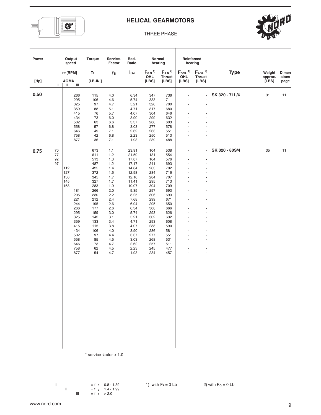

#### THREE PHASE

| Output<br>Torque<br>Service-<br>Normal<br>Reinforced<br>Power<br>Red.<br>bearing<br>speed<br>Factor<br>Ratio<br>bearing<br>$F_{QN}$ <sup>1)</sup> $F_{AN}$ <sup>2)</sup><br>$F_{QVL}$ <sup>1)</sup> $F_{AVL}$ <sup>2)</sup><br><b>Type</b><br>T <sub>2</sub><br>Weight<br>$n_2$ [RPM]<br>fв<br><i>I</i> <sub>total</sub><br>OHL<br><b>Thrust</b><br>OHL<br><b>Thrust</b><br>approx.<br>[LBS]<br>[LBS]<br>[LBS]<br>$[LB-IN.]$<br>[LBS]<br>[LBS]<br>[Hp]<br>AGMA<br>Τ.<br>Ш<br>Ш<br>0.50<br>SK 320 - 71L/4<br>31<br>266<br>736<br>115<br>4.0<br>6.34<br>347<br>$\omega$<br>$\blacksquare$<br>295<br>4.6<br>5.74<br>333<br>711<br>106<br>$\blacksquare$<br>÷,<br>325<br>97<br>4.7<br>5.21<br>326<br>700<br>÷,<br>$\blacksquare$<br>359<br>88<br>5.1<br>4.71<br>317<br>680<br>$\overline{\phantom{a}}$<br>$\overline{\phantom{a}}$<br>415<br>76<br>304<br>5.7<br>4.07<br>646<br>÷,<br>÷,<br>434<br>73<br>6.0<br>3.90<br>299<br>632<br>$\blacksquare$<br>502<br>63<br>6.6<br>3.37<br>286<br>603<br>$\overline{\phantom{a}}$<br>$\overline{\phantom{a}}$<br>558<br>57<br>6.8<br>3.03<br>277<br>578<br>÷,<br>$\overline{\phantom{a}}$<br>646<br>49<br>7.1<br>2.62<br>263<br>551<br>$\overline{\phantom{a}}$<br>$\overline{\phantom{a}}$<br>758<br>42<br>6.8<br>2.23<br>250<br>513<br>$\overline{\phantom{a}}$<br>ä,<br>877<br>36<br>7.1<br>239<br>488<br>1.93<br>$\blacksquare$<br>÷,<br>SK 320 - 80S/4<br>35<br>70<br>23.91<br>104<br>538<br>673<br>1.1<br>$\overline{\phantom{a}}$<br>0.75<br>$\overline{\phantom{a}}$<br>77<br>611<br>1.2<br>21.59<br>131<br>554<br>÷,<br>÷,<br>92<br>1.3<br>513<br>17.87<br>164<br>576<br>$\overline{\phantom{a}}$<br>$\overline{\phantom{a}}$<br>97<br>487<br>1.2<br>241<br>693<br>17.17<br>$\blacksquare$<br>$\overline{a}$<br>425<br>1.4<br>14.84<br>263<br>702<br>112<br>÷,<br>$\overline{\phantom{a}}$<br>127<br>372<br>1.5<br>12.98<br>284<br>716<br>$\overline{\phantom{a}}$<br>$\overline{\phantom{a}}$<br>136<br>345<br>1.7<br>12.16<br>284<br>707<br>$\overline{\phantom{a}}$<br>$\overline{\phantom{a}}$<br>145<br>327<br>1.7<br>11.41<br>295<br>713<br>÷,<br>$\overline{\phantom{a}}$<br>168<br>283<br>1.9<br>10.07<br>304<br>709<br>$\overline{\phantom{a}}$<br>$\sim$<br>2.0<br>9.35<br>297<br>693<br>181<br>266<br>$\blacksquare$<br>÷,<br>205<br>230<br>2.2<br>8.25<br>306<br>693<br>ä,<br>$\blacksquare$<br>221<br>212<br>2.4<br>7.68<br>299<br>671<br>$\overline{\phantom{a}}$<br>$\sim$<br>244<br>195<br>2.6<br>6.94<br>295<br>650<br>$\blacksquare$<br>$\overline{\phantom{a}}$ |                |
|----------------------------------------------------------------------------------------------------------------------------------------------------------------------------------------------------------------------------------------------------------------------------------------------------------------------------------------------------------------------------------------------------------------------------------------------------------------------------------------------------------------------------------------------------------------------------------------------------------------------------------------------------------------------------------------------------------------------------------------------------------------------------------------------------------------------------------------------------------------------------------------------------------------------------------------------------------------------------------------------------------------------------------------------------------------------------------------------------------------------------------------------------------------------------------------------------------------------------------------------------------------------------------------------------------------------------------------------------------------------------------------------------------------------------------------------------------------------------------------------------------------------------------------------------------------------------------------------------------------------------------------------------------------------------------------------------------------------------------------------------------------------------------------------------------------------------------------------------------------------------------------------------------------------------------------------------------------------------------------------------------------------------------------------------------------------------------------------------------------------------------------------------------------------------------------------------------------------------------------------------------------------------------------------------------------------------------------------------------------------------------------------------------------------------------------------------------------------------------------------------------------------------------|----------------|
|                                                                                                                                                                                                                                                                                                                                                                                                                                                                                                                                                                                                                                                                                                                                                                                                                                                                                                                                                                                                                                                                                                                                                                                                                                                                                                                                                                                                                                                                                                                                                                                                                                                                                                                                                                                                                                                                                                                                                                                                                                                                                                                                                                                                                                                                                                                                                                                                                                                                                                                                  |                |
|                                                                                                                                                                                                                                                                                                                                                                                                                                                                                                                                                                                                                                                                                                                                                                                                                                                                                                                                                                                                                                                                                                                                                                                                                                                                                                                                                                                                                                                                                                                                                                                                                                                                                                                                                                                                                                                                                                                                                                                                                                                                                                                                                                                                                                                                                                                                                                                                                                                                                                                                  | Dimen<br>sions |
|                                                                                                                                                                                                                                                                                                                                                                                                                                                                                                                                                                                                                                                                                                                                                                                                                                                                                                                                                                                                                                                                                                                                                                                                                                                                                                                                                                                                                                                                                                                                                                                                                                                                                                                                                                                                                                                                                                                                                                                                                                                                                                                                                                                                                                                                                                                                                                                                                                                                                                                                  | page           |
|                                                                                                                                                                                                                                                                                                                                                                                                                                                                                                                                                                                                                                                                                                                                                                                                                                                                                                                                                                                                                                                                                                                                                                                                                                                                                                                                                                                                                                                                                                                                                                                                                                                                                                                                                                                                                                                                                                                                                                                                                                                                                                                                                                                                                                                                                                                                                                                                                                                                                                                                  | 11             |
|                                                                                                                                                                                                                                                                                                                                                                                                                                                                                                                                                                                                                                                                                                                                                                                                                                                                                                                                                                                                                                                                                                                                                                                                                                                                                                                                                                                                                                                                                                                                                                                                                                                                                                                                                                                                                                                                                                                                                                                                                                                                                                                                                                                                                                                                                                                                                                                                                                                                                                                                  |                |
|                                                                                                                                                                                                                                                                                                                                                                                                                                                                                                                                                                                                                                                                                                                                                                                                                                                                                                                                                                                                                                                                                                                                                                                                                                                                                                                                                                                                                                                                                                                                                                                                                                                                                                                                                                                                                                                                                                                                                                                                                                                                                                                                                                                                                                                                                                                                                                                                                                                                                                                                  |                |
|                                                                                                                                                                                                                                                                                                                                                                                                                                                                                                                                                                                                                                                                                                                                                                                                                                                                                                                                                                                                                                                                                                                                                                                                                                                                                                                                                                                                                                                                                                                                                                                                                                                                                                                                                                                                                                                                                                                                                                                                                                                                                                                                                                                                                                                                                                                                                                                                                                                                                                                                  | 11             |
|                                                                                                                                                                                                                                                                                                                                                                                                                                                                                                                                                                                                                                                                                                                                                                                                                                                                                                                                                                                                                                                                                                                                                                                                                                                                                                                                                                                                                                                                                                                                                                                                                                                                                                                                                                                                                                                                                                                                                                                                                                                                                                                                                                                                                                                                                                                                                                                                                                                                                                                                  |                |
| 266<br>177<br>2.6<br>6.34<br>308<br>666<br>÷,<br>÷,<br>295<br>3.0<br>5.74<br>293<br>626<br>159<br>$\overline{\phantom{a}}$<br>$\overline{\phantom{a}}$                                                                                                                                                                                                                                                                                                                                                                                                                                                                                                                                                                                                                                                                                                                                                                                                                                                                                                                                                                                                                                                                                                                                                                                                                                                                                                                                                                                                                                                                                                                                                                                                                                                                                                                                                                                                                                                                                                                                                                                                                                                                                                                                                                                                                                                                                                                                                                           |                |
| 325<br>3.1<br>632<br>142<br>5.21<br>302<br>$\blacksquare$<br>$\overline{a}$<br>359<br>133<br>3.4<br>4.71<br>293<br>608<br>$\overline{\phantom{a}}$<br>÷,<br>415<br>3.8<br>288<br>590<br>115<br>4.07<br>$\overline{\phantom{a}}$<br>$\overline{\phantom{a}}$<br>434<br>3.90<br>286<br>106<br>4.0<br>581<br>$\overline{\phantom{a}}$<br>$\overline{\phantom{a}}$<br>502<br>97<br>4.4<br>3.37<br>277<br>551<br>$\blacksquare$<br>$\overline{\phantom{a}}$                                                                                                                                                                                                                                                                                                                                                                                                                                                                                                                                                                                                                                                                                                                                                                                                                                                                                                                                                                                                                                                                                                                                                                                                                                                                                                                                                                                                                                                                                                                                                                                                                                                                                                                                                                                                                                                                                                                                                                                                                                                                           |                |
| 558<br>85<br>4.5<br>3.03<br>268<br>531<br>$\blacksquare$<br>$\overline{\phantom{a}}$<br>646<br>73<br>4.7<br>2.62<br>257<br>511<br>$\blacksquare$<br>$\overline{\phantom{a}}$<br>758<br>62<br>4.5<br>2.23<br>245<br>477<br>$\blacksquare$<br>÷,<br>877<br>54<br>4.7<br>1.93<br>234<br>457<br>÷.<br>$\overline{\phantom{a}}$                                                                                                                                                                                                                                                                                                                                                                                                                                                                                                                                                                                                                                                                                                                                                                                                                                                                                                                                                                                                                                                                                                                                                                                                                                                                                                                                                                                                                                                                                                                                                                                                                                                                                                                                                                                                                                                                                                                                                                                                                                                                                                                                                                                                       |                |
|                                                                                                                                                                                                                                                                                                                                                                                                                                                                                                                                                                                                                                                                                                                                                                                                                                                                                                                                                                                                                                                                                                                                                                                                                                                                                                                                                                                                                                                                                                                                                                                                                                                                                                                                                                                                                                                                                                                                                                                                                                                                                                                                                                                                                                                                                                                                                                                                                                                                                                                                  |                |
|                                                                                                                                                                                                                                                                                                                                                                                                                                                                                                                                                                                                                                                                                                                                                                                                                                                                                                                                                                                                                                                                                                                                                                                                                                                                                                                                                                                                                                                                                                                                                                                                                                                                                                                                                                                                                                                                                                                                                                                                                                                                                                                                                                                                                                                                                                                                                                                                                                                                                                                                  |                |
|                                                                                                                                                                                                                                                                                                                                                                                                                                                                                                                                                                                                                                                                                                                                                                                                                                                                                                                                                                                                                                                                                                                                                                                                                                                                                                                                                                                                                                                                                                                                                                                                                                                                                                                                                                                                                                                                                                                                                                                                                                                                                                                                                                                                                                                                                                                                                                                                                                                                                                                                  |                |
|                                                                                                                                                                                                                                                                                                                                                                                                                                                                                                                                                                                                                                                                                                                                                                                                                                                                                                                                                                                                                                                                                                                                                                                                                                                                                                                                                                                                                                                                                                                                                                                                                                                                                                                                                                                                                                                                                                                                                                                                                                                                                                                                                                                                                                                                                                                                                                                                                                                                                                                                  |                |

\* service factor < 1.0

**II**  $=$  f  $=$  1.4 - 1.99 **III** = f  $_{\rm B}$  > 2.0

**I**  $=$  f B 0.8 - 1.39 1) with  $F_A = 0$  Lb 2) with  $F_Q = 0$  Lb  $=$  f B 1.4 - 1.99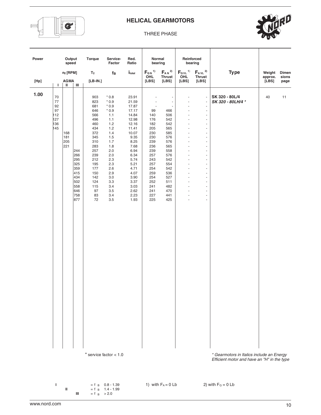

#### THREE PHASE

| Power |                                                  | Output<br>speed          |                                                                                  | Torque                                                                                                                                                            | Service-<br>Factor                                                                                                                                                                                           | Red.<br>Ratio                                                                                                                                                                                         |                                                                                                                                                                            | Normal<br>bearing                                                                                                                                                                                                 | Reinforced                                                                                                                                   | bearing                                                                                                                                                                                                                                                                                                                                                                                                                                                                                |                                                                                  |                  |               |
|-------|--------------------------------------------------|--------------------------|----------------------------------------------------------------------------------|-------------------------------------------------------------------------------------------------------------------------------------------------------------------|--------------------------------------------------------------------------------------------------------------------------------------------------------------------------------------------------------------|-------------------------------------------------------------------------------------------------------------------------------------------------------------------------------------------------------|----------------------------------------------------------------------------------------------------------------------------------------------------------------------------|-------------------------------------------------------------------------------------------------------------------------------------------------------------------------------------------------------------------|----------------------------------------------------------------------------------------------------------------------------------------------|----------------------------------------------------------------------------------------------------------------------------------------------------------------------------------------------------------------------------------------------------------------------------------------------------------------------------------------------------------------------------------------------------------------------------------------------------------------------------------------|----------------------------------------------------------------------------------|------------------|---------------|
|       |                                                  | $n_2$ [RPM]              |                                                                                  | T <sub>2</sub>                                                                                                                                                    | $f_B$                                                                                                                                                                                                        | $i_{\rm total}$                                                                                                                                                                                       | $F_{\alpha N}$ <sup>1)</sup>                                                                                                                                               | $F_{AN}$ <sup>2)</sup>                                                                                                                                                                                            |                                                                                                                                              | $F_{QVL}$ <sup>1)</sup> $F_{AVL}$ <sup>2)</sup>                                                                                                                                                                                                                                                                                                                                                                                                                                        | <b>Type</b>                                                                      | Weight           | Dimen         |
| [Hp]  | L.                                               | <b>AGMA</b><br>Ш         | Ш                                                                                | $[LB-IN.]$                                                                                                                                                        |                                                                                                                                                                                                              |                                                                                                                                                                                                       | OHL<br>[LBS]                                                                                                                                                               | <b>Thrust</b><br>[LBS]                                                                                                                                                                                            | OHL<br>[LBS]                                                                                                                                 | <b>Thrust</b><br>[LBS]                                                                                                                                                                                                                                                                                                                                                                                                                                                                 |                                                                                  | approx.<br>[LBS] | sions<br>page |
| 1.00  | 70<br>77<br>92<br>97<br>112<br>127<br>136<br>145 | 168<br>181<br>205<br>221 | 244<br>266<br>295<br>325<br>359<br>415<br>434<br>502<br>558<br>646<br>758<br>877 | 903<br>823<br>681<br>646<br>566<br>496<br>460<br>434<br>372<br>345<br>310<br>283<br>257<br>239<br>212<br>195<br>177<br>150<br>142<br>124<br>115<br>97<br>83<br>72 | $*0.8$<br>$*0.9$<br>$*0.9$<br>$*0.9$<br>1.1<br>1.1<br>1.2<br>1.2<br>1.4<br>1.5<br>1.7<br>1.8<br>2.0<br>2.0<br>2.3<br>2.3<br>2.6<br>2.9<br>3.0<br>3.3<br>3.4<br>3.5<br>3.4<br>3.5<br>* service factor $<$ 1.0 | 23.91<br>21.59<br>17.87<br>17.17<br>14.84<br>12.98<br>12.16<br>11.41<br>10.07<br>9.35<br>8.25<br>7.68<br>6.94<br>6.34<br>5.74<br>5.21<br>4.71<br>4.07<br>3.90<br>3.37<br>3.03<br>2.62<br>2.23<br>1.93 | $\overline{\phantom{a}}$<br>99<br>140<br>176<br>182<br>205<br>230<br>230<br>239<br>236<br>239<br>257<br>243<br>257<br>254<br>259<br>254<br>252<br>241<br>241<br>227<br>225 | $\sim$<br>$\overline{\phantom{a}}$<br>$\overline{\phantom{a}}$<br>466<br>506<br>542<br>542<br>565<br>585<br>576<br>576<br>565<br>558<br>576<br>542<br>554<br>542<br>536<br>527<br>511<br>482<br>470<br>441<br>425 | ä,<br>÷,<br>÷,<br>ä,<br>÷,<br>÷,<br>÷,<br>÷,<br>÷,<br>ä,<br>÷,<br>÷,<br>ä,<br>÷,<br>÷,<br>÷,<br>÷,<br>÷,<br>÷,<br>÷,<br>÷,<br>÷,<br>ä,<br>÷, | $\Box$<br>$\blacksquare$<br>$\blacksquare$<br>$\overline{\phantom{a}}$<br>$\overline{\phantom{a}}$<br>$\overline{\phantom{a}}$<br>$\overline{\phantom{a}}$<br>$\blacksquare$<br>÷<br>$\blacksquare$<br>$\blacksquare$<br>$\overline{\phantom{a}}$<br>÷,<br>$\blacksquare$<br>$\overline{\phantom{a}}$<br>$\blacksquare$<br>$\overline{\phantom{a}}$<br>$\blacksquare$<br>$\overline{\phantom{a}}$<br>$\blacksquare$<br>÷<br>$\overline{\phantom{a}}$<br>ä,<br>$\overline{\phantom{a}}$ | SK 320 - 80L/4<br>SK 320 - 80LH/4 *<br>* Gearmotors in Italics include an Energy | 40               | 11            |
|       |                                                  |                          |                                                                                  |                                                                                                                                                                   |                                                                                                                                                                                                              |                                                                                                                                                                                                       |                                                                                                                                                                            |                                                                                                                                                                                                                   |                                                                                                                                              |                                                                                                                                                                                                                                                                                                                                                                                                                                                                                        | Efficient motor and have an "H" in the type                                      |                  |               |

**I**  $=$  f  $_8$  0.8 - 1.39 1) with  $F_A = 0$  Lb 2) with  $F_Q = 0$  Lb

**II**  $=$  f  $=$  1.4 - 1.99 **III** = f  $_{\rm B}$  > 2.0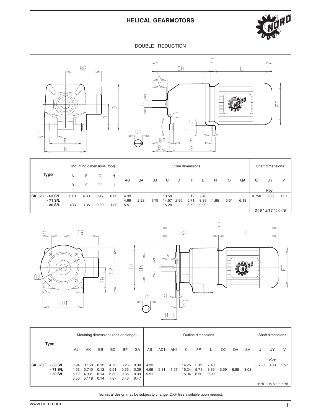

#### DOUBLE REDUCTION





|                            |      |      | Mounting dimensions (foot) |      |      |           |           |       |      | Outline dimensions |           |     |      |      |       | Shaft dimensions         |      |
|----------------------------|------|------|----------------------------|------|------|-----------|-----------|-------|------|--------------------|-----------|-----|------|------|-------|--------------------------|------|
| <b>Type</b>                | A    | Е    | G                          | н    | AB   | <b>BA</b> | <b>BJ</b> | С     | D    | <b>FP</b>          |           | N   | O    | QA   | U     | UY                       | V    |
|                            | B    | F    | G <sub>2</sub>             | J    |      |           |           |       |      |                    |           |     |      |      |       |                          |      |
|                            |      |      |                            |      |      |           |           |       |      |                    |           |     |      |      |       | Key                      |      |
| $-63$ S/L<br><b>SK 320</b> | 5.31 | 4.33 | 0.47                       | 0.35 | 4.33 |           |           | 13.58 |      |                    | 5.12 7.40 |     |      |      | 0.750 | 0.83                     | 1.57 |
| - 71 S/L                   |      |      |                            |      | 4.69 | 2.28      | 1.79      | 14.57 | 2.95 | 5.71               | 8.39      | .65 | 5.51 | 6.18 |       |                          |      |
| $-80$ S/L                  | 433  | 3.35 | 0.39                       | 1.22 | 5.51 |           |           | 15.28 |      | 6.50               | 9.09      |     |      |      |       |                          |      |
|                            |      |      |                            |      |      |           |           |       |      |                    |           |     |      |      |       | $3/16 * 3/16 * 1 - 1/16$ |      |





|                                                     |                              | Mounting dimensions (bolt-on flange) |                              |                              |                              |                              |                      |                 |                 |                         | Outline dimensions   |                      |                |      |           |       | Shaft dimensions                 |      |
|-----------------------------------------------------|------------------------------|--------------------------------------|------------------------------|------------------------------|------------------------------|------------------------------|----------------------|-----------------|-----------------|-------------------------|----------------------|----------------------|----------------|------|-----------|-------|----------------------------------|------|
| Type                                                | AJ                           | AK                                   | <b>BB</b>                    | <b>BD</b>                    | <b>BF</b>                    | GA                           | AB                   | AD <sub>1</sub> | AH <sub>1</sub> | C                       | <b>FP</b>            |                      | O <sub>2</sub> | QA   | <b>SA</b> | U     | UY<br>Kev                        | V    |
| <b>SK 320 F</b><br>- 63 S/L<br>- 71 S/L<br>- 80 S/L | 3.94<br>4.53<br>5.12<br>6.50 | 3.150<br>3.740<br>4.331<br>5.118     | 0.12<br>0.12<br>0.14<br>0.14 | 4.72<br>5.51<br>6.30<br>7.87 | 0.26<br>0.35<br>0.35<br>0.43 | 0.39<br>0.39<br>0.39<br>0.47 | 4.33<br>4.69<br>5.51 | 5.31            | 1.57            | 14.25<br>15.24<br>15.94 | 5.12<br>5.71<br>6.50 | 7.40<br>8.39<br>9.09 | 5.59           | 6.85 | 3.03      | 0.750 | 0.83<br>$3/16 * 3/16 * 1 - 1/16$ | 1.57 |

Technical design may be subject to change. DXF files available upon request.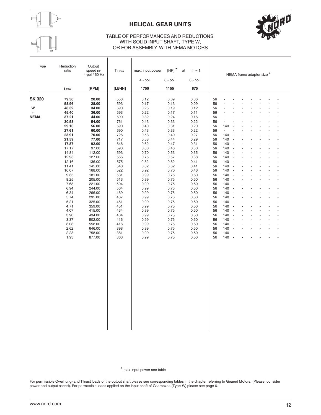

# **HELICAL GEAR UNITS**



#### TABLE OF PERFORMANCES AND REDUCTIONS WITH SOLID INPUT SHAFT, TYPE W, OR FOR ASSEMBLY WITH NEMA MOTORS

| Type                                     | Reduction<br>ratio                                                                                                                                                                                                      | Output<br>speed n <sub>2</sub><br>4-pol / 60 Hz                                                                                                                                                                                                            | $T_{2\,max}$                                                                                                                                                                       | max. input power<br>$4$ - pol.                                                                                                                                                                               | $[HP]$ *<br>$6$ - pol.                                                                                                                                                                                       | at<br>$f_B = 1$<br>8 - pol.                                                                                                                                                                                  | NEMA frame adapter size *                                                                                                                                                                                                                                                                                                                                                                                                                                                                                                                                                                                                                                                                                                                                                                                                                                                                                                           |
|------------------------------------------|-------------------------------------------------------------------------------------------------------------------------------------------------------------------------------------------------------------------------|------------------------------------------------------------------------------------------------------------------------------------------------------------------------------------------------------------------------------------------------------------|------------------------------------------------------------------------------------------------------------------------------------------------------------------------------------|--------------------------------------------------------------------------------------------------------------------------------------------------------------------------------------------------------------|--------------------------------------------------------------------------------------------------------------------------------------------------------------------------------------------------------------|--------------------------------------------------------------------------------------------------------------------------------------------------------------------------------------------------------------|-------------------------------------------------------------------------------------------------------------------------------------------------------------------------------------------------------------------------------------------------------------------------------------------------------------------------------------------------------------------------------------------------------------------------------------------------------------------------------------------------------------------------------------------------------------------------------------------------------------------------------------------------------------------------------------------------------------------------------------------------------------------------------------------------------------------------------------------------------------------------------------------------------------------------------------|
|                                          | <i>i</i> total                                                                                                                                                                                                          | [RPM]                                                                                                                                                                                                                                                      | $[LB-IN]$                                                                                                                                                                          | 1750                                                                                                                                                                                                         | 1155                                                                                                                                                                                                         | 875                                                                                                                                                                                                          |                                                                                                                                                                                                                                                                                                                                                                                                                                                                                                                                                                                                                                                                                                                                                                                                                                                                                                                                     |
| <b>SK 320</b><br>W<br>$+$<br><b>NEMA</b> | 79.56<br>58.96<br>48.32<br>45.40<br>37.21<br>30.58                                                                                                                                                                      | 20.00<br>28.00<br>34.00<br>36.00<br>44.00<br>54.00                                                                                                                                                                                                         | 558<br>593<br>690<br>593<br>690<br>761                                                                                                                                             | 0.12<br>0.17<br>0.25<br>0.22<br>0.32<br>0.43                                                                                                                                                                 | 0.09<br>0.13<br>0.19<br>0.17<br>0.24<br>0.33                                                                                                                                                                 | 0.06<br>0.09<br>0.12<br>0.11<br>0.16<br>0.22                                                                                                                                                                 | 56<br>56<br>56<br>÷.<br>ä,<br>56<br>56<br>÷.<br>$\overline{a}$<br>56<br>$\sim$                                                                                                                                                                                                                                                                                                                                                                                                                                                                                                                                                                                                                                                                                                                                                                                                                                                      |
|                                          | 29.10<br>27.61<br>23.91<br>21.59<br>17.87<br>17.17<br>14.84<br>12.98<br>12.16<br>11.41<br>10.07<br>9.35<br>8.25<br>7.68<br>6.94<br>6.34<br>5.74<br>5.21<br>4.71<br>4.07<br>3.90<br>3.37<br>3.03<br>2.62<br>2.23<br>1.93 | 56.00<br>60.00<br>70.00<br>77.00<br>92.00<br>97.00<br>112.00<br>127.00<br>136.00<br>145.00<br>168.00<br>181.00<br>205.00<br>221.00<br>244.00<br>266.00<br>295.00<br>325.00<br>359.00<br>415.00<br>434.00<br>502.00<br>558.00<br>646.00<br>758.00<br>877.00 | 690<br>690<br>726<br>717<br>646<br>593<br>593<br>566<br>575<br>540<br>522<br>531<br>513<br>504<br>504<br>469<br>487<br>451<br>451<br>434<br>434<br>416<br>416<br>398<br>381<br>363 | 0.40<br>0.43<br>0.53<br>0.58<br>0.62<br>0.60<br>0.70<br>0.75<br>0.82<br>0.82<br>0.92<br>0.99<br>0.99<br>0.99<br>0.99<br>0.99<br>0.99<br>0.99<br>0.99<br>0.99<br>0.99<br>0.99<br>0.99<br>0.99<br>0.99<br>0.99 | 0.31<br>0.33<br>0.40<br>0.44<br>0.47<br>0.46<br>0.53<br>0.57<br>0.62<br>0.62<br>0.70<br>0.75<br>0.75<br>0.75<br>0.75<br>0.75<br>0.75<br>0.75<br>0.75<br>0.75<br>0.75<br>0.75<br>0.75<br>0.75<br>0.75<br>0.75 | 0.20<br>0.22<br>0.27<br>0.29<br>0.31<br>0.30<br>0.35<br>0.38<br>0.41<br>0.41<br>0.46<br>0.50<br>0.50<br>0.50<br>0.50<br>0.50<br>0.50<br>0.50<br>0.50<br>0.50<br>0.50<br>0.50<br>0.50<br>0.50<br>0.50<br>0.50 | 56<br>140<br>J.<br>56<br>$\overline{\phantom{a}}$<br>÷,<br>56<br>140<br>$\sim$<br>140<br>56<br>$\blacksquare$<br>Ĭ.<br>ä,<br>56<br>140<br>$\blacksquare$<br>140<br>56<br>$\sim$<br>56<br>140<br>$\overline{\phantom{a}}$<br>140<br>56<br>$\sim$<br>140<br>56<br>$\overline{\phantom{a}}$<br>ä,<br>÷,<br>140<br>56<br>$\sim$<br>140<br>56<br>$\overline{\phantom{a}}$<br>ä,<br>140<br>56<br>$\sim$<br>140<br>56<br>$\sim$<br>56<br>140<br>$\overline{\phantom{a}}$<br>Ĭ.<br>ä,<br>140<br>56<br>$\overline{\phantom{a}}$<br>140<br>56<br>$\sim$<br>ä,<br>ä,<br>140<br>56<br>$\overline{\phantom{a}}$<br>140<br>56<br>$\sim$<br>÷.<br>÷.<br>140<br>56<br>$\sim$<br>140<br>56<br>$\overline{\phantom{a}}$<br>140<br>56<br>$\overline{\phantom{a}}$<br>ä,<br>÷,<br>140<br>56<br>$\sim$<br>140<br>56<br>$\overline{\phantom{a}}$<br>ä,<br>÷,<br>ä,<br>140<br>56<br>$\sim$<br>140<br>56<br>$\sim$<br>56<br>140<br>$\overline{\phantom{a}}$ |

\* max input power see table

For permissible Overhung- and Thrust loads of the output shaft please see corresponding tables in the chapter referring to Geared Motors. (Please, consider power and output speed). For permissible loads applied on the input shaft of Gearboxes (Type W) please see page 6.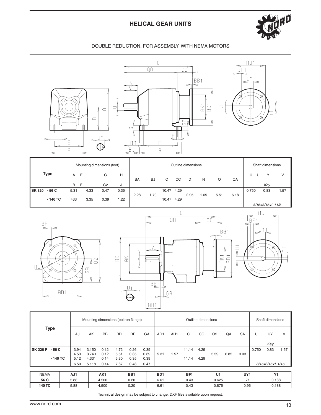# **HELICAL GEAR UNITS**



### DOUBLE REDUCTION. FOR ASSEMBLY WITH NEMA MOTORS



|                         |          | Mounting dimensions (foot) |                |      |           |           |            |      | Outline dimensions |     |      |      |        | Shaft dimensions   |      |
|-------------------------|----------|----------------------------|----------------|------|-----------|-----------|------------|------|--------------------|-----|------|------|--------|--------------------|------|
| <b>Type</b>             | - E<br>A | F                          | G              | н    | <b>BA</b> | <b>BJ</b> | C          | CC   | D                  | N   | O    | QA   | U<br>U |                    | V    |
|                         | B        |                            | G <sub>2</sub> | J    |           |           |            |      |                    |     |      |      |        | Key                |      |
| $-56C$<br><b>SK 320</b> | 5.31     | 4.33                       | 0.47           | 0.35 |           |           | 10.47 4.29 |      |                    |     |      |      | 0.750  | 0.83               | 1.57 |
|                         |          |                            |                |      | 2.28      | 1.79      |            |      | 2.95               | .65 | 5.51 | 6.18 |        |                    |      |
| $-140$ TC               | 433      | 3.35                       | 0.39           | 1.22 |           |           | 10,47      | 4,29 |                    |     |      |      |        |                    |      |
|                         |          |                            |                |      |           |           |            |      |                    |     |      |      |        | $3/16x3/16x1-11/6$ |      |





|                                        |                                       | Mounting dimensions (bolt-on flange) |                      |                      |                      |                      |                 |                 |                | Outline dimensions |                |      |           |       | Shaft dimensions   |      |
|----------------------------------------|---------------------------------------|--------------------------------------|----------------------|----------------------|----------------------|----------------------|-----------------|-----------------|----------------|--------------------|----------------|------|-----------|-------|--------------------|------|
| <b>Type</b>                            | AJ                                    | AK                                   | <b>BB</b>            | <b>BD</b>            | <b>BF</b>            | GA                   | AD <sub>1</sub> | AH <sub>1</sub> | C              | CC                 | O <sub>2</sub> | QA   | <b>SA</b> | U     | UY<br>Key          | V    |
| <b>SK 320 F</b><br>- 56 C<br>$-140$ TC | 3.94<br>4.53<br>5.12                  | 3.150<br>3.740<br>4.331              | 0.12<br>0.12<br>0.14 | 4.72<br>5.51<br>6.30 | 0.26<br>0.35<br>0.35 | 0.39<br>0.39<br>0.39 | 5.31            | 1.57            | 11.14<br>11.14 | 4.29<br>4.29       | 5.59           | 6.85 | 3.03      | 0.750 | 0.83               | 1.57 |
|                                        | 6.50<br>7.87<br>0.43<br>5.118<br>0.14 |                                      |                      |                      |                      | 0.47                 |                 |                 |                |                    |                |      |           |       | $3/16x3/16x1-1/16$ |      |

| <b>NEMA</b> | AJ1  | AK1   | BB1  | B <sub>D</sub> 1 | ΒF   | u ı   | UY1                  | V <sub>4</sub> |
|-------------|------|-------|------|------------------|------|-------|----------------------|----------------|
| 56 C        | 5.88 | 4.500 | 0.20 | 6.61             | 0.43 | 0.625 | $\rightarrow$<br>. . | 0.188          |
| 140 TC      | 5.88 | 4.500 | 0.20 | 6.61             | 0.43 | 0.875 | 0.96                 | 0.188          |

Technical design may be subject to change. DXF files available upon request.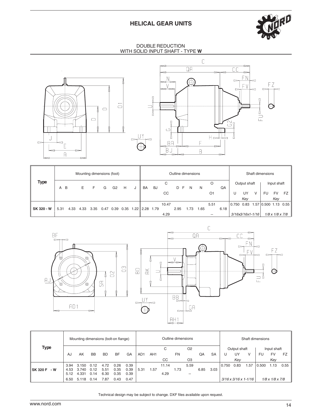## **HELICAL GEAR UNITS**



DOUBLE REDUCTION WITH SOLID INPUT SHAFT - TYPE **W**





| <b>Type</b> |                     |      |      | Mounting dimensions (foot) |      |                |   |   |                                             |    |       | Outline dimensions |     |      |                |      |                  |              |   | Shaft dimensions     |             |                             |
|-------------|---------------------|------|------|----------------------------|------|----------------|---|---|---------------------------------------------|----|-------|--------------------|-----|------|----------------|------|------------------|--------------|---|----------------------|-------------|-----------------------------|
|             | $\overline{B}$<br>A |      | E.   | F                          | G    | G <sub>2</sub> | H | J | BA                                          | BJ | С     | D F                | N   | N    | O              | QA   |                  | Output shaft |   |                      | Input shaft |                             |
|             |                     |      |      |                            |      |                |   |   |                                             |    | CC    |                    |     |      | O <sub>1</sub> |      | U                | UY           | v | <b>FU</b>            | <b>FV</b>   | FZ I                        |
|             |                     |      |      |                            |      |                |   |   |                                             |    |       |                    |     |      |                |      |                  | Key          |   |                      | Key         |                             |
|             |                     |      |      |                            |      |                |   |   |                                             |    | 10.47 |                    |     |      | 5.51           |      | $0.750$ 0.83     |              |   | 1.57 0.500 1.13 0.55 |             |                             |
| SK 320 - W  | 5.31                | 4.33 | 4.33 | 3.35                       | 0.47 | 0.39           |   |   | $0.35 \quad 1.22 \parallel 2.28 \quad 1.79$ |    |       | 2.95               | .73 | 1.65 |                | 6.18 |                  |              |   |                      |             |                             |
|             |                     |      |      |                            |      |                |   |   |                                             |    | 4.29  |                    |     |      |                |      | 3/16x3/16x1-1/16 |              |   |                      |             | $1/8 \times 1/8 \times 7/8$ |



|                        |      | Mounting dimensions (bolt-on flange) |           |      |           |      |                 |                 |       | Outline dimensions |                |      |           |       |              |                                    | Shaft dimensions |                             |           |
|------------------------|------|--------------------------------------|-----------|------|-----------|------|-----------------|-----------------|-------|--------------------|----------------|------|-----------|-------|--------------|------------------------------------|------------------|-----------------------------|-----------|
| <b>Type</b>            |      |                                      |           |      |           |      |                 |                 | С     |                    | O <sub>2</sub> |      |           |       | Output shaft |                                    |                  | Input shaft                 |           |
|                        | AJ   | AK                                   | <b>BB</b> | BD.  | <b>BF</b> | GA   | AD <sub>1</sub> | AH <sub>1</sub> |       | <b>FN</b>          |                | QA   | <b>SA</b> |       | UY           |                                    | FU               | <b>FV</b>                   | <b>FZ</b> |
|                        |      |                                      |           |      |           |      |                 |                 | CC.   |                    | O <sub>3</sub> |      |           |       | Kev          |                                    |                  | Key                         |           |
|                        | 3.94 | 3.150                                | 0.12      | 4.72 | 0.26      | 0.39 |                 |                 | 11.14 |                    | 5.59           |      |           | 0.750 | 0.83         | 1.57                               | 0.500            | 1.13                        | 0.55      |
| <b>SK 320 F</b><br>- W | 4.53 | 3.740                                | 0.12      | 5.51 | 0.35      | 0.39 | 5.31            | 1.57            |       | 1.73               |                | 6.85 | 3.03      |       |              |                                    |                  |                             |           |
|                        | 5.12 | 4.331                                | 0.14      | 6.30 | 0.35      | 0.39 |                 |                 | 4.29  |                    | --             |      |           |       |              |                                    |                  |                             |           |
|                        | 6.50 | 5.118                                | 0.14      | 7.87 | 0.43      | 0.47 |                 |                 |       |                    |                |      |           |       |              | $3/16 \times 3/16 \times 1 - 1/16$ |                  | $1/8 \times 1/8 \times 7/8$ |           |

Technical design may be subject to change. DXF files available upon request.